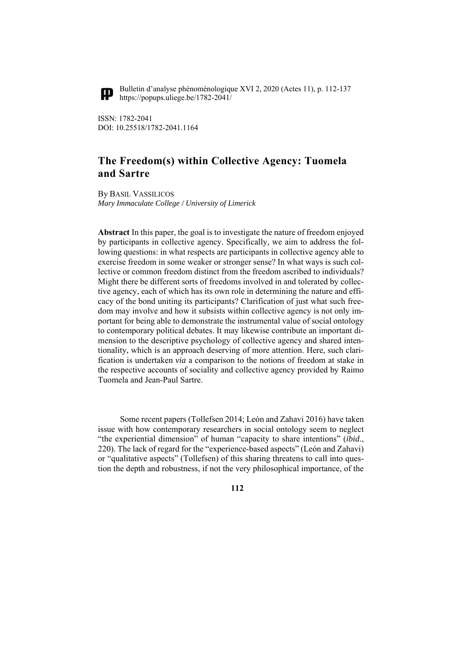

Bulletin d'analyse phénoménologique XVI 2, 2020 (Actes 11), p. 112-137 https://popups.uliege.be/1782-2041/

ISSN: 1782-2041 DOI: 10.25518/1782-2041.1164

# **The Freedom(s) within Collective Agency: Tuomela and Sartre**

By BASIL VASSILICOS *Mary Immaculate College / University of Limerick* 

**Abstract** In this paper, the goal is to investigate the nature of freedom enjoyed by participants in collective agency. Specifically, we aim to address the following questions: in what respects are participants in collective agency able to exercise freedom in some weaker or stronger sense? In what ways is such collective or common freedom distinct from the freedom ascribed to individuals? Might there be different sorts of freedoms involved in and tolerated by collective agency, each of which has its own role in determining the nature and efficacy of the bond uniting its participants? Clarification of just what such freedom may involve and how it subsists within collective agency is not only important for being able to demonstrate the instrumental value of social ontology to contemporary political debates. It may likewise contribute an important dimension to the descriptive psychology of collective agency and shared intentionality, which is an approach deserving of more attention. Here, such clarification is undertaken *via* a comparison to the notions of freedom at stake in the respective accounts of sociality and collective agency provided by Raimo Tuomela and Jean-Paul Sartre.

Some recent papers (Tollefsen 2014; León and Zahavi 2016) have taken issue with how contemporary researchers in social ontology seem to neglect "the experiential dimension" of human "capacity to share intentions" (*ibid*., 220). The lack of regard for the "experience-based aspects" (León and Zahavi) or "qualitative aspects" (Tollefsen) of this sharing threatens to call into question the depth and robustness, if not the very philosophical importance, of the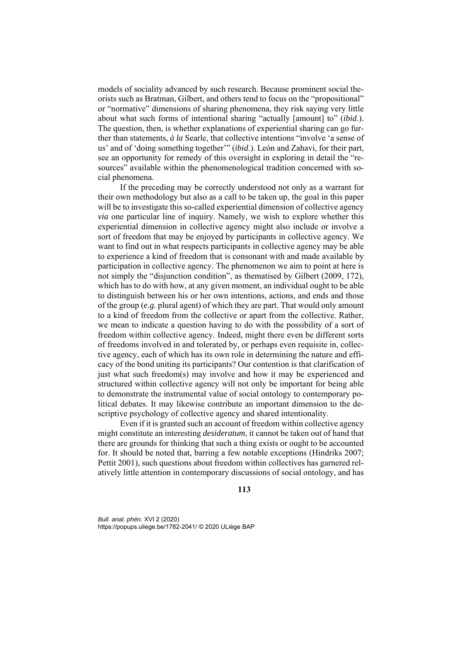models of sociality advanced by such research. Because prominent social theorists such as Bratman, Gilbert, and others tend to focus on the "propositional" or "normative" dimensions of sharing phenomena, they risk saying very little about what such forms of intentional sharing "actually [amount] to" (*ibid*.). The question, then, is whether explanations of experiential sharing can go further than statements, *à la* Searle, that collective intentions "involve 'a sense of us' and of 'doing something together'" (*ibid*.). León and Zahavi, for their part, see an opportunity for remedy of this oversight in exploring in detail the "resources" available within the phenomenological tradition concerned with social phenomena.

If the preceding may be correctly understood not only as a warrant for their own methodology but also as a call to be taken up, the goal in this paper will be to investigate this so-called experiential dimension of collective agency *via* one particular line of inquiry. Namely, we wish to explore whether this experiential dimension in collective agency might also include or involve a sort of freedom that may be enjoyed by participants in collective agency. We want to find out in what respects participants in collective agency may be able to experience a kind of freedom that is consonant with and made available by participation in collective agency. The phenomenon we aim to point at here is not simply the "disjunction condition", as thematised by Gilbert (2009, 172), which has to do with how, at any given moment, an individual ought to be able to distinguish between his or her own intentions, actions, and ends and those of the group (*e.g.* plural agent) of which they are part. That would only amount to a kind of freedom from the collective or apart from the collective. Rather, we mean to indicate a question having to do with the possibility of a sort of freedom within collective agency. Indeed, might there even be different sorts of freedoms involved in and tolerated by, or perhaps even requisite in, collective agency, each of which has its own role in determining the nature and efficacy of the bond uniting its participants? Our contention is that clarification of just what such freedom(s) may involve and how it may be experienced and structured within collective agency will not only be important for being able to demonstrate the instrumental value of social ontology to contemporary political debates. It may likewise contribute an important dimension to the descriptive psychology of collective agency and shared intentionality.

Even if it is granted such an account of freedom within collective agency might constitute an interesting *desideratum*, it cannot be taken out of hand that there are grounds for thinking that such a thing exists or ought to be accounted for. It should be noted that, barring a few notable exceptions (Hindriks 2007; Pettit 2001), such questions about freedom within collectives has garnered relatively little attention in contemporary discussions of social ontology, and has

**113**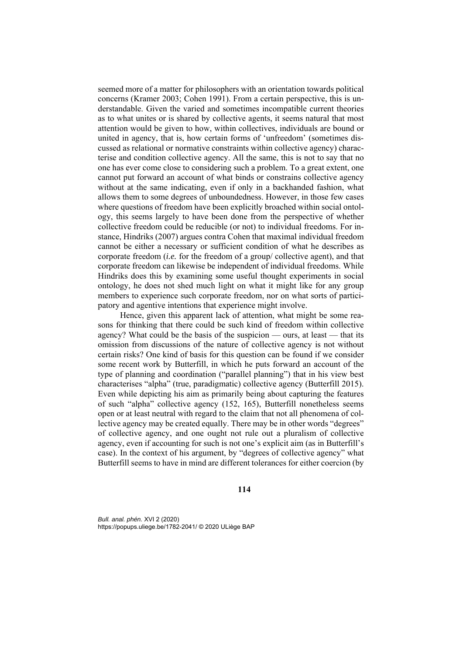seemed more of a matter for philosophers with an orientation towards political concerns (Kramer 2003; Cohen 1991). From a certain perspective, this is understandable. Given the varied and sometimes incompatible current theories as to what unites or is shared by collective agents, it seems natural that most attention would be given to how, within collectives, individuals are bound or united in agency, that is, how certain forms of 'unfreedom' (sometimes discussed as relational or normative constraints within collective agency) characterise and condition collective agency. All the same, this is not to say that no one has ever come close to considering such a problem. To a great extent, one cannot put forward an account of what binds or constrains collective agency without at the same indicating, even if only in a backhanded fashion, what allows them to some degrees of unboundedness. However, in those few cases where questions of freedom have been explicitly broached within social ontology, this seems largely to have been done from the perspective of whether collective freedom could be reducible (or not) to individual freedoms. For instance, Hindriks (2007) argues contra Cohen that maximal individual freedom cannot be either a necessary or sufficient condition of what he describes as corporate freedom (*i.e.* for the freedom of a group/ collective agent), and that corporate freedom can likewise be independent of individual freedoms. While Hindriks does this by examining some useful thought experiments in social ontology, he does not shed much light on what it might like for any group members to experience such corporate freedom, nor on what sorts of participatory and agentive intentions that experience might involve.

Hence, given this apparent lack of attention, what might be some reasons for thinking that there could be such kind of freedom within collective agency? What could be the basis of the suspicion — ours, at least — that its omission from discussions of the nature of collective agency is not without certain risks? One kind of basis for this question can be found if we consider some recent work by Butterfill, in which he puts forward an account of the type of planning and coordination ("parallel planning") that in his view best characterises "alpha" (true, paradigmatic) collective agency (Butterfill 2015). Even while depicting his aim as primarily being about capturing the features of such "alpha" collective agency (152, 165), Butterfill nonetheless seems open or at least neutral with regard to the claim that not all phenomena of collective agency may be created equally. There may be in other words "degrees" of collective agency, and one ought not rule out a pluralism of collective agency, even if accounting for such is not one's explicit aim (as in Butterfill's case). In the context of his argument, by "degrees of collective agency" what Butterfill seems to have in mind are different tolerances for either coercion (by

**114**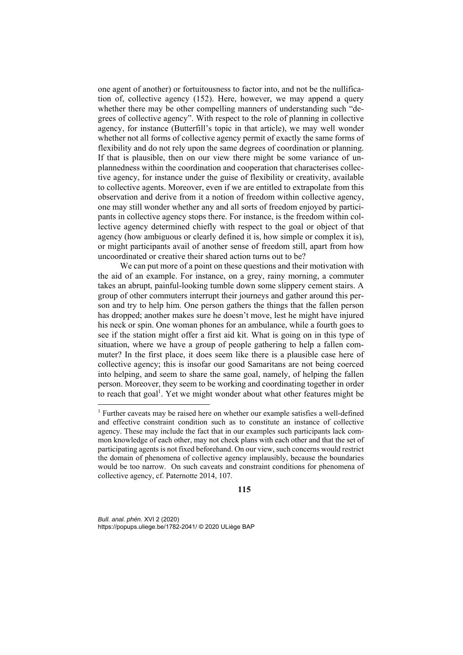one agent of another) or fortuitousness to factor into, and not be the nullification of, collective agency (152). Here, however, we may append a query whether there may be other compelling manners of understanding such "degrees of collective agency". With respect to the role of planning in collective agency, for instance (Butterfill's topic in that article), we may well wonder whether not all forms of collective agency permit of exactly the same forms of flexibility and do not rely upon the same degrees of coordination or planning. If that is plausible, then on our view there might be some variance of unplannedness within the coordination and cooperation that characterises collective agency, for instance under the guise of flexibility or creativity, available to collective agents. Moreover, even if we are entitled to extrapolate from this observation and derive from it a notion of freedom within collective agency, one may still wonder whether any and all sorts of freedom enjoyed by participants in collective agency stops there. For instance, is the freedom within collective agency determined chiefly with respect to the goal or object of that agency (how ambiguous or clearly defined it is, how simple or complex it is), or might participants avail of another sense of freedom still, apart from how uncoordinated or creative their shared action turns out to be?

We can put more of a point on these questions and their motivation with the aid of an example. For instance, on a grey, rainy morning, a commuter takes an abrupt, painful-looking tumble down some slippery cement stairs. A group of other commuters interrupt their journeys and gather around this person and try to help him. One person gathers the things that the fallen person has dropped; another makes sure he doesn't move, lest he might have injured his neck or spin. One woman phones for an ambulance, while a fourth goes to see if the station might offer a first aid kit. What is going on in this type of situation, where we have a group of people gathering to help a fallen commuter? In the first place, it does seem like there is a plausible case here of collective agency; this is insofar our good Samaritans are not being coerced into helping, and seem to share the same goal, namely, of helping the fallen person. Moreover, they seem to be working and coordinating together in order to reach that goal<sup>1</sup>. Yet we might wonder about what other features might be

**115**

*Bull. anal. phén.* XVI 2 (2020) https://popups.uliege.be/1782-2041/ © 2020 ULiège BAP

<sup>&</sup>lt;sup>1</sup> Further caveats may be raised here on whether our example satisfies a well-defined and effective constraint condition such as to constitute an instance of collective agency. These may include the fact that in our examples such participants lack common knowledge of each other, may not check plans with each other and that the set of participating agents is not fixed beforehand. On our view, such concerns would restrict the domain of phenomena of collective agency implausibly, because the boundaries would be too narrow. On such caveats and constraint conditions for phenomena of collective agency, cf. Paternotte 2014, 107.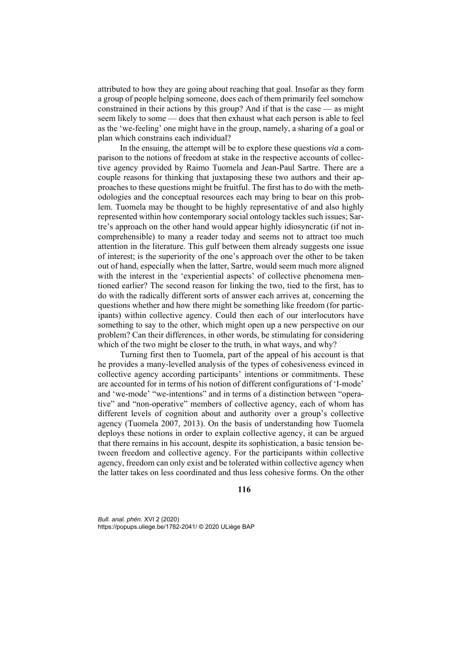attributed to how they are going about reaching that goal. Insofar as they form a group of people helping someone, does each of them primarily feel somehow constrained in their actions by this group? And if that is the case — as might seem likely to some — does that then exhaust what each person is able to feel as the 'we-feeling' one might have in the group, namely, a sharing of a goal or plan which constrains each individual?

In the ensuing, the attempt will be to explore these questions *via* a comparison to the notions of freedom at stake in the respective accounts of collective agency provided by Raimo Tuomela and Jean-Paul Sartre. There are a couple reasons for thinking that juxtaposing these two authors and their approaches to these questions might be fruitful. The first has to do with the methodologies and the conceptual resources each may bring to bear on this problem. Tuomela may be thought to be highly representative of and also highly represented within how contemporary social ontology tackles such issues; Sartre's approach on the other hand would appear highly idiosyncratic (if not incomprehensible) to many a reader today and seems not to attract too much attention in the literature. This gulf between them already suggests one issue of interest; is the superiority of the one's approach over the other to be taken out of hand, especially when the latter, Sartre, would seem much more aligned with the interest in the 'experiential aspects' of collective phenomena mentioned earlier? The second reason for linking the two, tied to the first, has to do with the radically different sorts of answer each arrives at, concerning the questions whether and how there might be something like freedom (for participants) within collective agency. Could then each of our interlocutors have something to say to the other, which might open up a new perspective on our problem? Can their differences, in other words, be stimulating for considering which of the two might be closer to the truth, in what ways, and why?

Turning first then to Tuomela, part of the appeal of his account is that he provides a many-levelled analysis of the types of cohesiveness evinced in collective agency according participants' intentions or commitments. These are accounted for in terms of his notion of different configurations of 'I-mode' and 'we-mode' "we-intentions" and in terms of a distinction between "operative" and "non-operative" members of collective agency, each of whom has different levels of cognition about and authority over a group's collective agency (Tuomela 2007, 2013). On the basis of understanding how Tuomela deploys these notions in order to explain collective agency, it can be argued that there remains in his account, despite its sophistication, a basic tension between freedom and collective agency. For the participants within collective agency, freedom can only exist and be tolerated within collective agency when the latter takes on less coordinated and thus less cohesive forms. On the other

**116**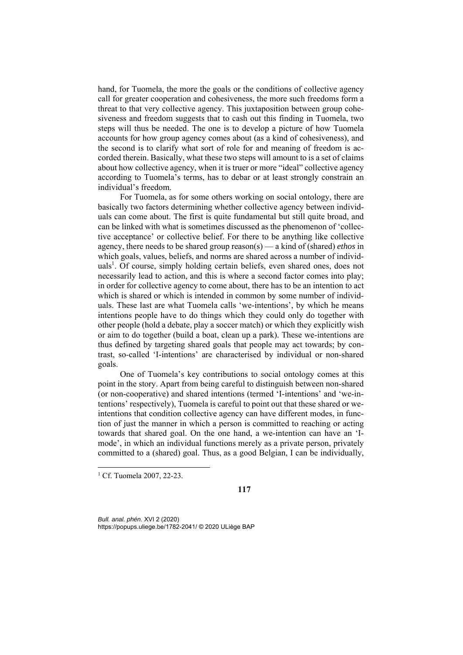hand, for Tuomela, the more the goals or the conditions of collective agency call for greater cooperation and cohesiveness, the more such freedoms form a threat to that very collective agency. This juxtaposition between group cohesiveness and freedom suggests that to cash out this finding in Tuomela, two steps will thus be needed. The one is to develop a picture of how Tuomela accounts for how group agency comes about (as a kind of cohesiveness), and the second is to clarify what sort of role for and meaning of freedom is accorded therein. Basically, what these two steps will amount to is a set of claims about how collective agency, when it is truer or more "ideal" collective agency according to Tuomela's terms, has to debar or at least strongly constrain an individual's freedom.

For Tuomela, as for some others working on social ontology, there are basically two factors determining whether collective agency between individuals can come about. The first is quite fundamental but still quite broad, and can be linked with what is sometimes discussed as the phenomenon of 'collective acceptance' or collective belief. For there to be anything like collective agency, there needs to be shared group reason(s) — a kind of (shared) *ethos* in which goals, values, beliefs, and norms are shared across a number of individuals<sup>1</sup>. Of course, simply holding certain beliefs, even shared ones, does not necessarily lead to action, and this is where a second factor comes into play; in order for collective agency to come about, there has to be an intention to act which is shared or which is intended in common by some number of individuals. These last are what Tuomela calls 'we-intentions', by which he means intentions people have to do things which they could only do together with other people (hold a debate, play a soccer match) or which they explicitly wish or aim to do together (build a boat, clean up a park). These we-intentions are thus defined by targeting shared goals that people may act towards; by contrast, so-called 'I-intentions' are characterised by individual or non-shared goals.

One of Tuomela's key contributions to social ontology comes at this point in the story. Apart from being careful to distinguish between non-shared (or non-cooperative) and shared intentions (termed 'I-intentions' and 'we-intentions' respectively), Tuomela is careful to point out that these shared or weintentions that condition collective agency can have different modes, in function of just the manner in which a person is committed to reaching or acting towards that shared goal. On the one hand, a we-intention can have an 'Imode', in which an individual functions merely as a private person, privately committed to a (shared) goal. Thus, as a good Belgian, I can be individually,

1

**117**

<sup>&</sup>lt;sup>1</sup> Cf. Tuomela 2007, 22-23.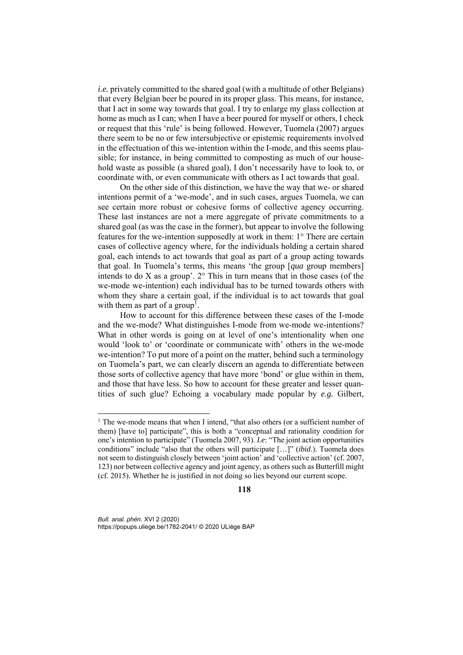*i.e.* privately committed to the shared goal (with a multitude of other Belgians) that every Belgian beer be poured in its proper glass. This means, for instance, that I act in some way towards that goal. I try to enlarge my glass collection at home as much as I can; when I have a beer poured for myself or others, I check or request that this 'rule' is being followed. However, Tuomela (2007) argues there seem to be no or few intersubjective or epistemic requirements involved in the effectuation of this we-intention within the I-mode, and this seems plausible; for instance, in being committed to composting as much of our household waste as possible (a shared goal), I don't necessarily have to look to, or coordinate with, or even communicate with others as I act towards that goal.

On the other side of this distinction, we have the way that we- or shared intentions permit of a 'we-mode', and in such cases, argues Tuomela, we can see certain more robust or cohesive forms of collective agency occurring. These last instances are not a mere aggregate of private commitments to a shared goal (as was the case in the former), but appear to involve the following features for the we-intention supposedly at work in them: 1° There are certain cases of collective agency where, for the individuals holding a certain shared goal, each intends to act towards that goal as part of a group acting towards that goal. In Tuomela's terms, this means 'the group [*qua* group members] intends to do X as a group'.  $2^{\circ}$  This in turn means that in those cases (of the we-mode we-intention) each individual has to be turned towards others with whom they share a certain goal, if the individual is to act towards that goal with them as part of a group<sup>1</sup>.

How to account for this difference between these cases of the I-mode and the we-mode? What distinguishes I-mode from we-mode we-intentions? What in other words is going on at level of one's intentionality when one would 'look to' or 'coordinate or communicate with' others in the we-mode we-intention? To put more of a point on the matter, behind such a terminology on Tuomela's part, we can clearly discern an agenda to differentiate between those sorts of collective agency that have more 'bond' or glue within in them, and those that have less. So how to account for these greater and lesser quantities of such glue? Echoing a vocabulary made popular by *e.g.* Gilbert,

*Bull. anal. phén.* XVI 2 (2020) https://popups.uliege.be/1782-2041/ © 2020 ULiège BAP

<sup>&</sup>lt;sup>1</sup> The we-mode means that when I intend, "that also others (or a sufficient number of them) [have to] participate", this is both a "conceptual and rationality condition for one's intention to participate" (Tuomela 2007, 93). *I.e*: "The joint action opportunities conditions" include "also that the others will participate […]" (*ibid*.). Tuomela does not seem to distinguish closely between 'joint action' and 'collective action' (cf. 2007, 123) nor between collective agency and joint agency, as others such as Butterfill might (cf. 2015). Whether he is justified in not doing so lies beyond our current scope.

**<sup>118</sup>**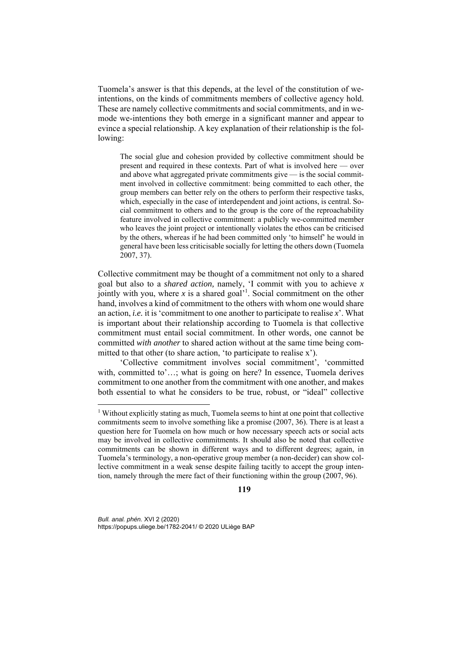Tuomela's answer is that this depends, at the level of the constitution of weintentions, on the kinds of commitments members of collective agency hold. These are namely collective commitments and social commitments, and in wemode we-intentions they both emerge in a significant manner and appear to evince a special relationship. A key explanation of their relationship is the following:

The social glue and cohesion provided by collective commitment should be present and required in these contexts. Part of what is involved here — over and above what aggregated private commitments give — is the social commitment involved in collective commitment: being committed to each other, the group members can better rely on the others to perform their respective tasks, which, especially in the case of interdependent and joint actions, is central. Social commitment to others and to the group is the core of the reproachability feature involved in collective commitment: a publicly we-committed member who leaves the joint project or intentionally violates the ethos can be criticised by the others, whereas if he had been committed only 'to himself' he would in general have been less criticisable socially for letting the others down (Tuomela 2007, 37).

Collective commitment may be thought of a commitment not only to a shared goal but also to a *shared action,* namely, 'I commit with you to achieve *x* jointly with you, where  $x$  is a shared goal<sup> $1$ </sup>. Social commitment on the other hand, involves a kind of commitment to the others with whom one would share an action, *i.e.* it is 'commitment to one another to participate to realise *x*'. What is important about their relationship according to Tuomela is that collective commitment must entail social commitment. In other words, one cannot be committed *with another* to shared action without at the same time being committed to that other (to share action, 'to participate to realise x').

'Collective commitment involves social commitment', 'committed with, committed to'...; what is going on here? In essence, Tuomela derives commitment to one another from the commitment with one another, and makes both essential to what he considers to be true, robust, or "ideal" collective

**119**

*Bull. anal. phén.* XVI 2 (2020) https://popups.uliege.be/1782-2041/ © 2020 ULiège BAP

<sup>&</sup>lt;sup>1</sup> Without explicitly stating as much, Tuomela seems to hint at one point that collective commitments seem to involve something like a promise (2007, 36). There is at least a question here for Tuomela on how much or how necessary speech acts or social acts may be involved in collective commitments. It should also be noted that collective commitments can be shown in different ways and to different degrees; again, in Tuomela's terminology, a non-operative group member (a non-decider) can show collective commitment in a weak sense despite failing tacitly to accept the group intention, namely through the mere fact of their functioning within the group (2007, 96).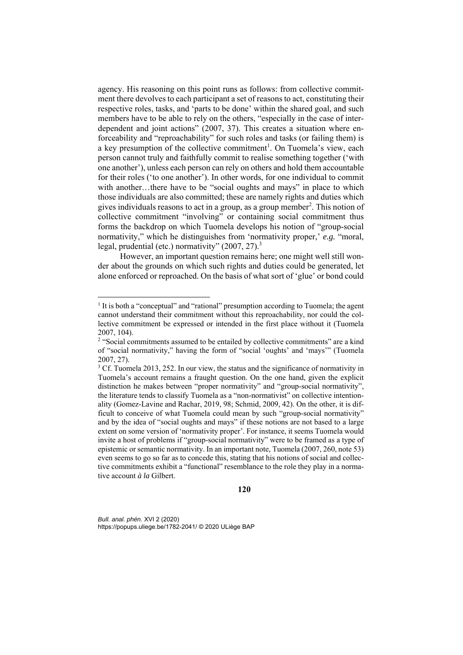agency. His reasoning on this point runs as follows: from collective commitment there devolves to each participant a set of reasons to act, constituting their respective roles, tasks, and 'parts to be done' within the shared goal, and such members have to be able to rely on the others, "especially in the case of interdependent and joint actions" (2007, 37). This creates a situation where enforceability and "reproachability" for such roles and tasks (or failing them) is a key presumption of the collective commitment<sup>1</sup>. On Tuomela's view, each person cannot truly and faithfully commit to realise something together ('with one another'), unless each person can rely on others and hold them accountable for their roles ('to one another'). In other words, for one individual to commit with another...there have to be "social oughts and mays" in place to which those individuals are also committed; these are namely rights and duties which gives individuals reasons to act in a group, as a group member<sup>2</sup>. This notion of collective commitment "involving" or containing social commitment thus forms the backdrop on which Tuomela develops his notion of "group-social normativity," which he distinguishes from 'normativity proper,' *e.g.* "moral, legal, prudential (etc.) normativity"  $(2007, 27)$ .<sup>3</sup>

However, an important question remains here; one might well still wonder about the grounds on which such rights and duties could be generated, let alone enforced or reproached. On the basis of what sort of 'glue' or bond could

*Bull. anal. phén.* XVI 2 (2020) https://popups.uliege.be/1782-2041/ © 2020 ULiège BAP

<sup>&</sup>lt;sup>1</sup> It is both a "conceptual" and "rational" presumption according to Tuomela; the agent cannot understand their commitment without this reproachability, nor could the collective commitment be expressed or intended in the first place without it (Tuomela 2007, 104).

<sup>&</sup>lt;sup>2</sup> "Social commitments assumed to be entailed by collective commitments" are a kind of "social normativity," having the form of "social 'oughts' and 'mays'" (Tuomela 2007, 27).

 $3$  Cf. Tuomela 2013, 252. In our view, the status and the significance of normativity in Tuomela's account remains a fraught question. On the one hand, given the explicit distinction he makes between "proper normativity" and "group-social normativity", the literature tends to classify Tuomela as a "non-normativist" on collective intentionality (Gomez-Lavine and Rachar, 2019, 98; Schmid, 2009, 42). On the other, it is difficult to conceive of what Tuomela could mean by such "group-social normativity" and by the idea of "social oughts and mays" if these notions are not based to a large extent on some version of 'normativity proper'. For instance, it seems Tuomela would invite a host of problems if "group-social normativity" were to be framed as a type of epistemic or semantic normativity. In an important note, Tuomela (2007, 260, note 53) even seems to go so far as to concede this, stating that his notions of social and collective commitments exhibit a "functional" resemblance to the role they play in a normative account *à la* Gilbert.

**<sup>120</sup>**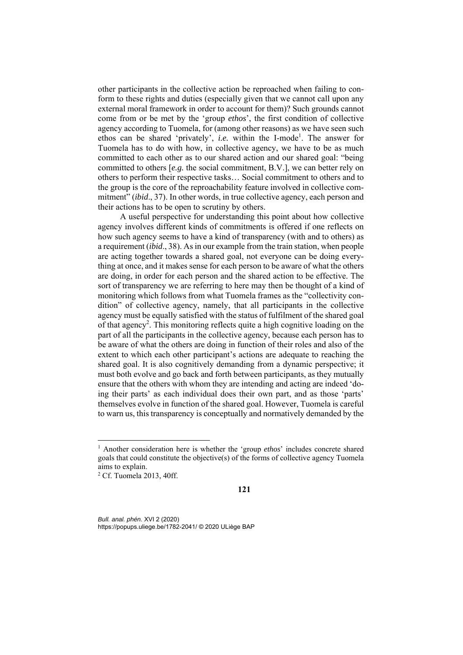other participants in the collective action be reproached when failing to conform to these rights and duties (especially given that we cannot call upon any external moral framework in order to account for them)? Such grounds cannot come from or be met by the 'group *ethos*', the first condition of collective agency according to Tuomela, for (among other reasons) as we have seen such ethos can be shared 'privately', *i.e.* within the I-mode<sup>1</sup>. The answer for Tuomela has to do with how, in collective agency, we have to be as much committed to each other as to our shared action and our shared goal: "being committed to others [*e.g.* the social commitment, B.V.], we can better rely on others to perform their respective tasks… Social commitment to others and to the group is the core of the reproachability feature involved in collective commitment" (*ibid*., 37). In other words, in true collective agency, each person and their actions has to be open to scrutiny by others.

A useful perspective for understanding this point about how collective agency involves different kinds of commitments is offered if one reflects on how such agency seems to have a kind of transparency (with and to others) as a requirement (*ibid*., 38). As in our example from the train station, when people are acting together towards a shared goal, not everyone can be doing everything at once, and it makes sense for each person to be aware of what the others are doing, in order for each person and the shared action to be effective. The sort of transparency we are referring to here may then be thought of a kind of monitoring which follows from what Tuomela frames as the "collectivity condition" of collective agency, namely, that all participants in the collective agency must be equally satisfied with the status of fulfilment of the shared goal of that agency<sup>2</sup>. This monitoring reflects quite a high cognitive loading on the part of all the participants in the collective agency, because each person has to be aware of what the others are doing in function of their roles and also of the extent to which each other participant's actions are adequate to reaching the shared goal. It is also cognitively demanding from a dynamic perspective; it must both evolve and go back and forth between participants, as they mutually ensure that the others with whom they are intending and acting are indeed 'doing their parts' as each individual does their own part, and as those 'parts' themselves evolve in function of the shared goal. However, Tuomela is careful to warn us, this transparency is conceptually and normatively demanded by the

1

<sup>&</sup>lt;sup>1</sup> Another consideration here is whether the 'group *ethos*' includes concrete shared goals that could constitute the objective(s) of the forms of collective agency Tuomela aims to explain.

<sup>2</sup> Cf. Tuomela 2013, 40ff.

**<sup>121</sup>**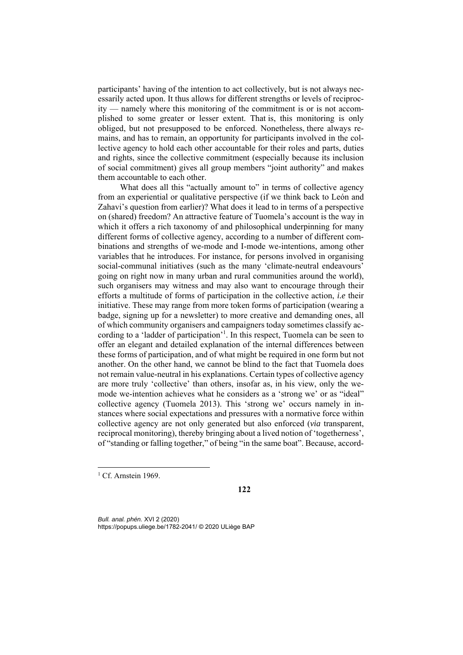participants' having of the intention to act collectively, but is not always necessarily acted upon. It thus allows for different strengths or levels of reciprocity — namely where this monitoring of the commitment is or is not accomplished to some greater or lesser extent. That is, this monitoring is only obliged, but not presupposed to be enforced. Nonetheless, there always remains, and has to remain, an opportunity for participants involved in the collective agency to hold each other accountable for their roles and parts, duties and rights, since the collective commitment (especially because its inclusion of social commitment) gives all group members "joint authority" and makes them accountable to each other.

What does all this "actually amount to" in terms of collective agency from an experiential or qualitative perspective (if we think back to León and Zahavi's question from earlier)? What does it lead to in terms of a perspective on (shared) freedom? An attractive feature of Tuomela's account is the way in which it offers a rich taxonomy of and philosophical underpinning for many different forms of collective agency, according to a number of different combinations and strengths of we-mode and I-mode we-intentions, among other variables that he introduces. For instance, for persons involved in organising social-communal initiatives (such as the many 'climate-neutral endeavours' going on right now in many urban and rural communities around the world), such organisers may witness and may also want to encourage through their efforts a multitude of forms of participation in the collective action, *i.e* their initiative. These may range from more token forms of participation (wearing a badge, signing up for a newsletter) to more creative and demanding ones, all of which community organisers and campaigners today sometimes classify according to a 'ladder of participation'<sup>1</sup>. In this respect, Tuomela can be seen to offer an elegant and detailed explanation of the internal differences between these forms of participation, and of what might be required in one form but not another. On the other hand, we cannot be blind to the fact that Tuomela does not remain value-neutral in his explanations. Certain types of collective agency are more truly 'collective' than others, insofar as, in his view, only the wemode we-intention achieves what he considers as a 'strong we' or as "ideal" collective agency (Tuomela 2013). This 'strong we' occurs namely in instances where social expectations and pressures with a normative force within collective agency are not only generated but also enforced (*via* transparent, reciprocal monitoring), thereby bringing about a lived notion of 'togetherness', of "standing or falling together," of being "in the same boat". Because, accord-

1

**122**

<sup>&</sup>lt;sup>1</sup> Cf. Arnstein 1969.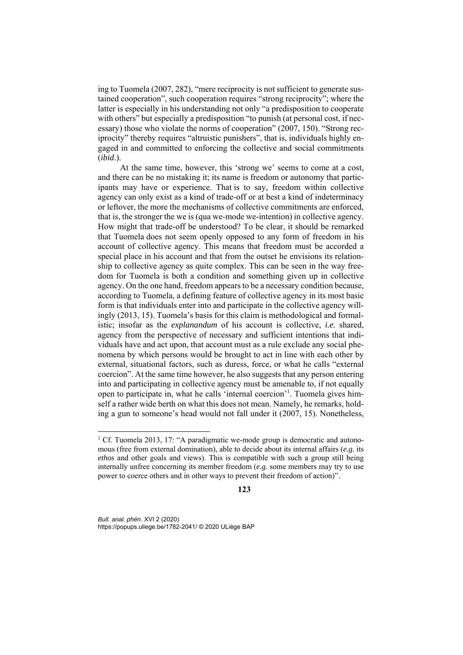ing to Tuomela (2007, 282), "mere reciprocity is not sufficient to generate sustained cooperation", such cooperation requires "strong reciprocity"; where the latter is especially in his understanding not only "a predisposition to cooperate with others" but especially a predisposition "to punish (at personal cost, if necessary) those who violate the norms of cooperation" (2007, 150). "Strong reciprocity" thereby requires "altruistic punishers", that is, individuals highly engaged in and committed to enforcing the collective and social commitments (*ibid*.).

At the same time, however, this 'strong we' seems to come at a cost, and there can be no mistaking it; its name is freedom or autonomy that participants may have or experience. That is to say, freedom within collective agency can only exist as a kind of trade-off or at best a kind of indeterminacy or leftover, the more the mechanisms of collective commitments are enforced, that is, the stronger the we is (qua we-mode we-intention) in collective agency. How might that trade-off be understood? To be clear, it should be remarked that Tuomela does not seem openly opposed to any form of freedom in his account of collective agency. This means that freedom must be accorded a special place in his account and that from the outset he envisions its relationship to collective agency as quite complex. This can be seen in the way freedom for Tuomela is both a condition and something given up in collective agency. On the one hand, freedom appears to be a necessary condition because, according to Tuomela, a defining feature of collective agency in its most basic form is that individuals enter into and participate in the collective agency willingly (2013, 15). Tuomela's basis for this claim is methodological and formalistic; insofar as the *explanandum* of his account is collective, *i.e.* shared, agency from the perspective of necessary and sufficient intentions that individuals have and act upon, that account must as a rule exclude any social phenomena by which persons would be brought to act in line with each other by external, situational factors, such as duress, force, or what he calls "external coercion". At the same time however, he also suggests that any person entering into and participating in collective agency must be amenable to, if not equally open to participate in, what he calls 'internal coercion'<sup>1</sup>. Tuomela gives himself a rather wide berth on what this does not mean. Namely, he remarks, holding a gun to someone's head would not fall under it (2007, 15). Nonetheless,

**123**

*Bull. anal. phén.* XVI 2 (2020) https://popups.uliege.be/1782-2041/ © 2020 ULiège BAP

<sup>&</sup>lt;sup>1</sup> Cf. Tuomela 2013, 17: "A paradigmatic we-mode group is democratic and autonomous (free from external domination), able to decide about its internal affairs (*e.g.* its *ethos* and other goals and views). This is compatible with such a group still being internally unfree concerning its member freedom (*e.g.* some members may try to use power to coerce others and in other ways to prevent their freedom of action)".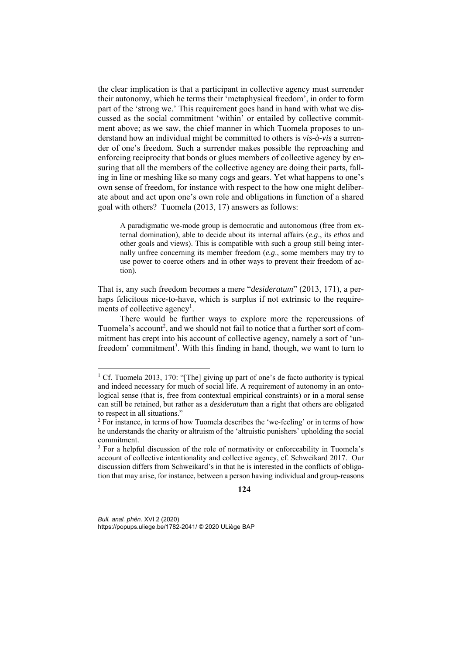the clear implication is that a participant in collective agency must surrender their autonomy, which he terms their 'metaphysical freedom', in order to form part of the 'strong we.' This requirement goes hand in hand with what we discussed as the social commitment 'within' or entailed by collective commitment above; as we saw, the chief manner in which Tuomela proposes to understand how an individual might be committed to others is *vis-à-vis* a surrender of one's freedom. Such a surrender makes possible the reproaching and enforcing reciprocity that bonds or glues members of collective agency by ensuring that all the members of the collective agency are doing their parts, falling in line or meshing like so many cogs and gears. Yet what happens to one's own sense of freedom, for instance with respect to the how one might deliberate about and act upon one's own role and obligations in function of a shared goal with others? Tuomela (2013, 17) answers as follows:

A paradigmatic we-mode group is democratic and autonomous (free from external domination), able to decide about its internal affairs (*e.g*., its *ethos* and other goals and views). This is compatible with such a group still being internally unfree concerning its member freedom (*e.g*., some members may try to use power to coerce others and in other ways to prevent their freedom of action).

That is, any such freedom becomes a mere "*desideratum*" (2013, 171), a perhaps felicitous nice-to-have, which is surplus if not extrinsic to the requirements of collective agency<sup>1</sup>.

There would be further ways to explore more the repercussions of Tuomela's account<sup>2</sup>, and we should not fail to notice that a further sort of commitment has crept into his account of collective agency, namely a sort of 'unfreedom' commitment<sup>3</sup>. With this finding in hand, though, we want to turn to

### **124**

*Bull. anal. phén.* XVI 2 (2020) https://popups.uliege.be/1782-2041/ © 2020 ULiège BAP

<sup>&</sup>lt;sup>1</sup> Cf. Tuomela 2013, 170: "[The] giving up part of one's de facto authority is typical and indeed necessary for much of social life. A requirement of autonomy in an ontological sense (that is, free from contextual empirical constraints) or in a moral sense can still be retained, but rather as a *desideratum* than a right that others are obligated to respect in all situations."

<sup>&</sup>lt;sup>2</sup> For instance, in terms of how Tuomela describes the 'we-feeling' or in terms of how he understands the charity or altruism of the 'altruistic punishers' upholding the social commitment.

<sup>&</sup>lt;sup>3</sup> For a helpful discussion of the role of normativity or enforceability in Tuomela's account of collective intentionality and collective agency, cf. Schweikard 2017. Our discussion differs from Schweikard's in that he is interested in the conflicts of obligation that may arise, for instance, between a person having individual and group-reasons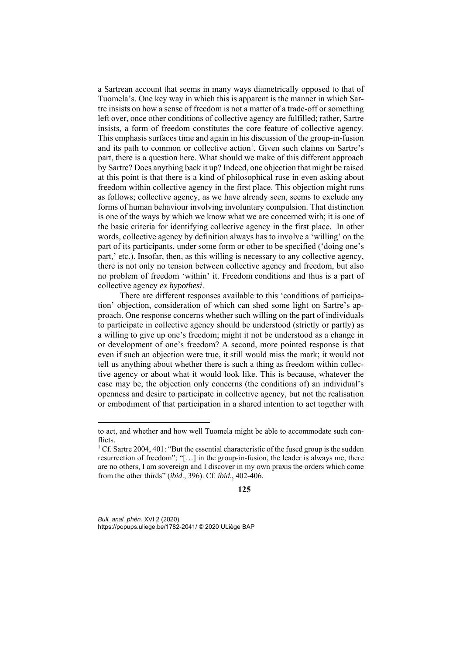a Sartrean account that seems in many ways diametrically opposed to that of Tuomela's. One key way in which this is apparent is the manner in which Sartre insists on how a sense of freedom is not a matter of a trade-off or something left over, once other conditions of collective agency are fulfilled; rather, Sartre insists, a form of freedom constitutes the core feature of collective agency. This emphasis surfaces time and again in his discussion of the group-in-fusion and its path to common or collective action<sup>1</sup>. Given such claims on Sartre's part, there is a question here. What should we make of this different approach by Sartre? Does anything back it up? Indeed, one objection that might be raised at this point is that there is a kind of philosophical ruse in even asking about freedom within collective agency in the first place. This objection might runs as follows; collective agency, as we have already seen, seems to exclude any forms of human behaviour involving involuntary compulsion. That distinction is one of the ways by which we know what we are concerned with; it is one of the basic criteria for identifying collective agency in the first place. In other words, collective agency by definition always has to involve a 'willing' on the part of its participants, under some form or other to be specified ('doing one's part,' etc.). Insofar, then, as this willing is necessary to any collective agency, there is not only no tension between collective agency and freedom, but also no problem of freedom 'within' it. Freedom conditions and thus is a part of collective agency *ex hypothesi*.

There are different responses available to this 'conditions of participation' objection, consideration of which can shed some light on Sartre's approach. One response concerns whether such willing on the part of individuals to participate in collective agency should be understood (strictly or partly) as a willing to give up one's freedom; might it not be understood as a change in or development of one's freedom? A second, more pointed response is that even if such an objection were true, it still would miss the mark; it would not tell us anything about whether there is such a thing as freedom within collective agency or about what it would look like. This is because, whatever the case may be, the objection only concerns (the conditions of) an individual's openness and desire to participate in collective agency, but not the realisation or embodiment of that participation in a shared intention to act together with

#### **125**

*Bull. anal. phén.* XVI 2 (2020) https://popups.uliege.be/1782-2041/ © 2020 ULiège BAP

to act, and whether and how well Tuomela might be able to accommodate such conflicts.

<sup>&</sup>lt;sup>1</sup> Cf. Sartre 2004, 401: "But the essential characteristic of the fused group is the sudden resurrection of freedom"; "[…] in the group-in-fusion, the leader is always me, there are no others, I am sovereign and I discover in my own praxis the orders which come from the other thirds" (*ibid*., 396). Cf. *ibid*., 402-406.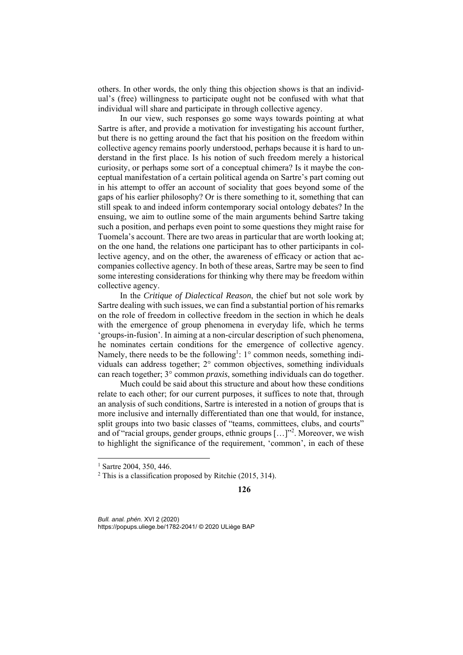others. In other words, the only thing this objection shows is that an individual's (free) willingness to participate ought not be confused with what that individual will share and participate in through collective agency.

In our view, such responses go some ways towards pointing at what Sartre is after, and provide a motivation for investigating his account further, but there is no getting around the fact that his position on the freedom within collective agency remains poorly understood, perhaps because it is hard to understand in the first place. Is his notion of such freedom merely a historical curiosity, or perhaps some sort of a conceptual chimera? Is it maybe the conceptual manifestation of a certain political agenda on Sartre's part coming out in his attempt to offer an account of sociality that goes beyond some of the gaps of his earlier philosophy? Or is there something to it, something that can still speak to and indeed inform contemporary social ontology debates? In the ensuing, we aim to outline some of the main arguments behind Sartre taking such a position, and perhaps even point to some questions they might raise for Tuomela's account. There are two areas in particular that are worth looking at; on the one hand, the relations one participant has to other participants in collective agency, and on the other, the awareness of efficacy or action that accompanies collective agency. In both of these areas, Sartre may be seen to find some interesting considerations for thinking why there may be freedom within collective agency.

In the *Critique of Dialectical Reason*, the chief but not sole work by Sartre dealing with such issues, we can find a substantial portion of his remarks on the role of freedom in collective freedom in the section in which he deals with the emergence of group phenomena in everyday life, which he terms 'groups-in-fusion'. In aiming at a non-circular description of such phenomena, he nominates certain conditions for the emergence of collective agency. Namely, there needs to be the following<sup>1</sup>: 1° common needs, something individuals can address together; 2° common objectives, something individuals can reach together; 3° common *praxis*, something individuals can do together.

Much could be said about this structure and about how these conditions relate to each other; for our current purposes, it suffices to note that, through an analysis of such conditions, Sartre is interested in a notion of groups that is more inclusive and internally differentiated than one that would, for instance, split groups into two basic classes of "teams, committees, clubs, and courts" and of "racial groups, gender groups, ethnic groups [...]"<sup>2</sup>. Moreover, we wish to highlight the significance of the requirement, 'common', in each of these

-

 $1$  Sartre 2004, 350, 446.

<sup>2</sup> This is a classification proposed by Ritchie (2015, 314).

**<sup>126</sup>**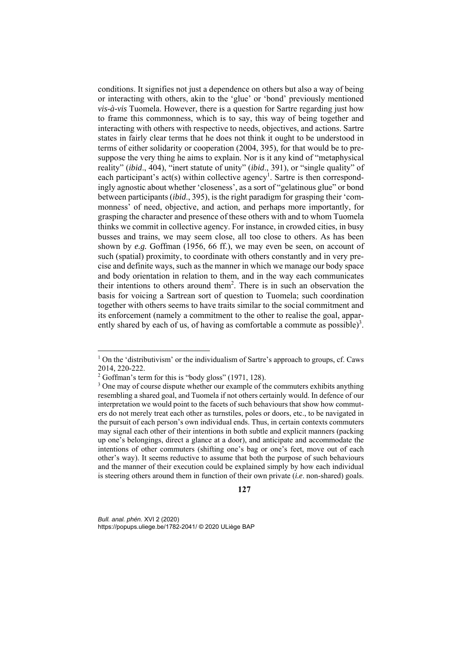conditions. It signifies not just a dependence on others but also a way of being or interacting with others, akin to the 'glue' or 'bond' previously mentioned *vis-à-vis* Tuomela. However, there is a question for Sartre regarding just how to frame this commonness, which is to say, this way of being together and interacting with others with respective to needs, objectives, and actions. Sartre states in fairly clear terms that he does not think it ought to be understood in terms of either solidarity or cooperation (2004, 395), for that would be to presuppose the very thing he aims to explain. Nor is it any kind of "metaphysical reality" (*ibid*., 404), "inert statute of unity" (*ibid*., 391), or "single quality" of each participant's act(s) within collective agency<sup>1</sup>. Sartre is then correspondingly agnostic about whether 'closeness', as a sort of "gelatinous glue" or bond between participants (*ibid*., 395), is the right paradigm for grasping their 'commonness' of need, objective, and action, and perhaps more importantly, for grasping the character and presence of these others with and to whom Tuomela thinks we commit in collective agency. For instance, in crowded cities, in busy busses and trains, we may seem close, all too close to others. As has been shown by *e.g.* Goffman (1956, 66 ff.), we may even be seen, on account of such (spatial) proximity, to coordinate with others constantly and in very precise and definite ways, such as the manner in which we manage our body space and body orientation in relation to them, and in the way each communicates their intentions to others around them<sup>2</sup>. There is in such an observation the basis for voicing a Sartrean sort of question to Tuomela; such coordination together with others seems to have traits similar to the social commitment and its enforcement (namely a commitment to the other to realise the goal, apparently shared by each of us, of having as comfortable a commute as possible)<sup>3</sup>.

<sup>&</sup>lt;sup>1</sup> On the 'distributivism' or the individualism of Sartre's approach to groups, cf. Caws 2014, 220-222.

<sup>&</sup>lt;sup>2</sup> Goffman's term for this is "body gloss" (1971, 128).

<sup>&</sup>lt;sup>3</sup> One may of course dispute whether our example of the commuters exhibits anything resembling a shared goal, and Tuomela if not others certainly would. In defence of our interpretation we would point to the facets of such behaviours that show how commuters do not merely treat each other as turnstiles, poles or doors, etc., to be navigated in the pursuit of each person's own individual ends. Thus, in certain contexts commuters may signal each other of their intentions in both subtle and explicit manners (packing up one's belongings, direct a glance at a door), and anticipate and accommodate the intentions of other commuters (shifting one's bag or one's feet, move out of each other's way). It seems reductive to assume that both the purpose of such behaviours and the manner of their execution could be explained simply by how each individual is steering others around them in function of their own private (*i.e*. non-shared) goals.

**<sup>127</sup>**

*Bull. anal. phén.* XVI 2 (2020) https://popups.uliege.be/1782-2041/ © 2020 ULiège BAP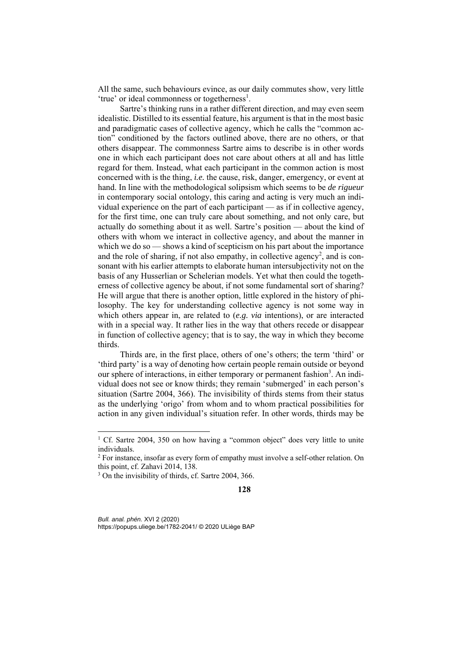All the same, such behaviours evince, as our daily commutes show, very little 'true' or ideal commonness or togetherness<sup>1</sup>.

Sartre's thinking runs in a rather different direction, and may even seem idealistic. Distilled to its essential feature, his argument is that in the most basic and paradigmatic cases of collective agency, which he calls the "common action" conditioned by the factors outlined above, there are no others, or that others disappear. The commonness Sartre aims to describe is in other words one in which each participant does not care about others at all and has little regard for them. Instead, what each participant in the common action is most concerned with is the thing, *i.e.* the cause, risk, danger, emergency, or event at hand. In line with the methodological solipsism which seems to be *de rigueur* in contemporary social ontology, this caring and acting is very much an individual experience on the part of each participant — as if in collective agency, for the first time, one can truly care about something, and not only care, but actually do something about it as well. Sartre's position — about the kind of others with whom we interact in collective agency, and about the manner in which we do so — shows a kind of scepticism on his part about the importance and the role of sharing, if not also empathy, in collective agency<sup>2</sup>, and is consonant with his earlier attempts to elaborate human intersubjectivity not on the basis of any Husserlian or Schelerian models. Yet what then could the togetherness of collective agency be about, if not some fundamental sort of sharing? He will argue that there is another option, little explored in the history of philosophy. The key for understanding collective agency is not some way in which others appear in, are related to (*e.g. via* intentions), or are interacted with in a special way. It rather lies in the way that others recede or disappear in function of collective agency; that is to say, the way in which they become thirds.

Thirds are, in the first place, others of one's others; the term 'third' or 'third party' is a way of denoting how certain people remain outside or beyond our sphere of interactions, in either temporary or permanent fashion<sup>3</sup>. An individual does not see or know thirds; they remain 'submerged' in each person's situation (Sartre 2004, 366). The invisibility of thirds stems from their status as the underlying 'origo' from whom and to whom practical possibilities for action in any given individual's situation refer. In other words, thirds may be

-

<sup>&</sup>lt;sup>1</sup> Cf. Sartre 2004, 350 on how having a "common object" does very little to unite individuals.

<sup>&</sup>lt;sup>2</sup> For instance, insofar as every form of empathy must involve a self-other relation. On this point, cf. Zahavi 2014, 138.

<sup>&</sup>lt;sup>3</sup> On the invisibility of thirds, cf. Sartre 2004, 366.

**<sup>128</sup>**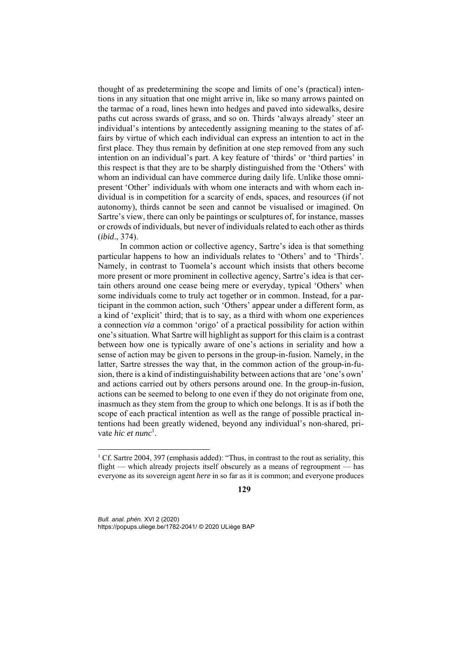thought of as predetermining the scope and limits of one's (practical) intentions in any situation that one might arrive in, like so many arrows painted on the tarmac of a road, lines hewn into hedges and paved into sidewalks, desire paths cut across swards of grass, and so on. Thirds 'always already' steer an individual's intentions by antecedently assigning meaning to the states of affairs by virtue of which each individual can express an intention to act in the first place. They thus remain by definition at one step removed from any such intention on an individual's part. A key feature of 'thirds' or 'third parties' in this respect is that they are to be sharply distinguished from the 'Others' with whom an individual can have commerce during daily life. Unlike those omnipresent 'Other' individuals with whom one interacts and with whom each individual is in competition for a scarcity of ends, spaces, and resources (if not autonomy), thirds cannot be seen and cannot be visualised or imagined. On Sartre's view, there can only be paintings or sculptures of, for instance, masses or crowds of individuals, but never of individuals related to each other as thirds (*ibid*., 374).

In common action or collective agency, Sartre's idea is that something particular happens to how an individuals relates to 'Others' and to 'Thirds'. Namely, in contrast to Tuomela's account which insists that others become more present or more prominent in collective agency, Sartre's idea is that certain others around one cease being mere or everyday, typical 'Others' when some individuals come to truly act together or in common. Instead, for a participant in the common action, such 'Others' appear under a different form, as a kind of 'explicit' third; that is to say, as a third with whom one experiences a connection *via* a common 'origo' of a practical possibility for action within one's situation. What Sartre will highlight as support for this claim is a contrast between how one is typically aware of one's actions in seriality and how a sense of action may be given to persons in the group-in-fusion. Namely, in the latter, Sartre stresses the way that, in the common action of the group-in-fusion, there is a kind of indistinguishability between actions that are 'one's own' and actions carried out by others persons around one. In the group-in-fusion, actions can be seemed to belong to one even if they do not originate from one, inasmuch as they stem from the group to which one belongs. It is as if both the scope of each practical intention as well as the range of possible practical intentions had been greatly widened, beyond any individual's non-shared, private *hic et nunc*<sup>1</sup>.

*Bull. anal. phén.* XVI 2 (2020) https://popups.uliege.be/1782-2041/ © 2020 ULiège BAP

<sup>&</sup>lt;sup>1</sup> Cf. Sartre 2004, 397 (emphasis added): "Thus, in contrast to the rout as seriality, this flight — which already projects itself obscurely as a means of regroupment — has everyone as its sovereign agent *here* in so far as it is common; and everyone produces

**<sup>129</sup>**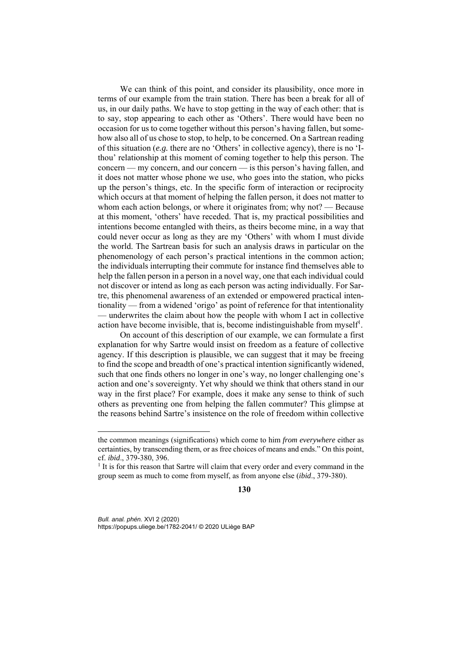We can think of this point, and consider its plausibility, once more in terms of our example from the train station. There has been a break for all of us, in our daily paths. We have to stop getting in the way of each other: that is to say, stop appearing to each other as 'Others'. There would have been no occasion for us to come together without this person's having fallen, but somehow also all of us chose to stop, to help, to be concerned. On a Sartrean reading of this situation (*e.g.* there are no 'Others' in collective agency), there is no 'Ithou' relationship at this moment of coming together to help this person. The concern — my concern, and our concern — is this person's having fallen, and it does not matter whose phone we use, who goes into the station, who picks up the person's things, etc. In the specific form of interaction or reciprocity which occurs at that moment of helping the fallen person, it does not matter to whom each action belongs, or where it originates from; why not? — Because at this moment, 'others' have receded. That is, my practical possibilities and intentions become entangled with theirs, as theirs become mine, in a way that could never occur as long as they are my 'Others' with whom I must divide the world. The Sartrean basis for such an analysis draws in particular on the phenomenology of each person's practical intentions in the common action; the individuals interrupting their commute for instance find themselves able to help the fallen person in a person in a novel way, one that each individual could not discover or intend as long as each person was acting individually. For Sartre, this phenomenal awareness of an extended or empowered practical intentionality — from a widened 'origo' as point of reference for that intentionality — underwrites the claim about how the people with whom I act in collective action have become invisible, that is, become indistinguishable from myself<sup>1</sup>.

On account of this description of our example, we can formulate a first explanation for why Sartre would insist on freedom as a feature of collective agency. If this description is plausible, we can suggest that it may be freeing to find the scope and breadth of one's practical intention significantly widened, such that one finds others no longer in one's way, no longer challenging one's action and one's sovereignty. Yet why should we think that others stand in our way in the first place? For example, does it make any sense to think of such others as preventing one from helping the fallen commuter? This glimpse at the reasons behind Sartre's insistence on the role of freedom within collective

**130**

*Bull. anal. phén.* XVI 2 (2020) https://popups.uliege.be/1782-2041/ © 2020 ULiège BAP

the common meanings (significations) which come to him *from everywhere* either as certainties, by transcending them, or as free choices of means and ends." On this point, cf. *ibid*., 379-380, 396. 1

 $<sup>1</sup>$  It is for this reason that Sartre will claim that every order and every command in the</sup> group seem as much to come from myself, as from anyone else (*ibid*., 379-380).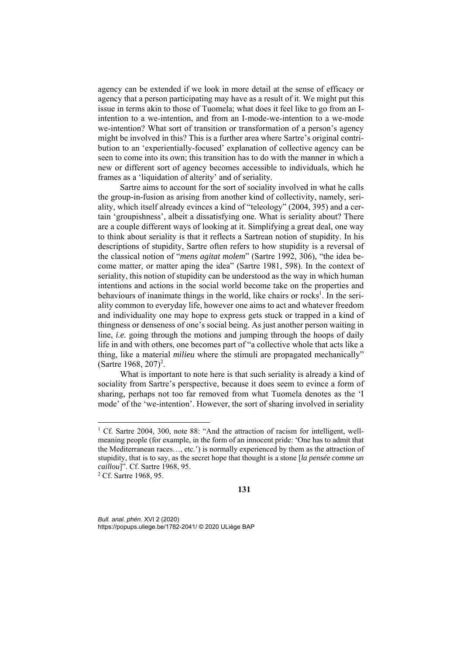agency can be extended if we look in more detail at the sense of efficacy or agency that a person participating may have as a result of it. We might put this issue in terms akin to those of Tuomela; what does it feel like to go from an Iintention to a we-intention, and from an I-mode-we-intention to a we-mode we-intention? What sort of transition or transformation of a person's agency might be involved in this? This is a further area where Sartre's original contribution to an 'experientially-focused' explanation of collective agency can be seen to come into its own; this transition has to do with the manner in which a new or different sort of agency becomes accessible to individuals, which he frames as a 'liquidation of alterity' and of seriality.

Sartre aims to account for the sort of sociality involved in what he calls the group-in-fusion as arising from another kind of collectivity, namely, seriality, which itself already evinces a kind of "teleology" (2004, 395) and a certain 'groupishness', albeit a dissatisfying one. What is seriality about? There are a couple different ways of looking at it. Simplifying a great deal, one way to think about seriality is that it reflects a Sartrean notion of stupidity. In his descriptions of stupidity, Sartre often refers to how stupidity is a reversal of the classical notion of "*mens agitat molem*" (Sartre 1992, 306), "the idea become matter, or matter aping the idea" (Sartre 1981, 598). In the context of seriality, this notion of stupidity can be understood as the way in which human intentions and actions in the social world become take on the properties and behaviours of inanimate things in the world, like chairs or rocks<sup>1</sup>. In the seriality common to everyday life, however one aims to act and whatever freedom and individuality one may hope to express gets stuck or trapped in a kind of thingness or denseness of one's social being. As just another person waiting in line, *i.e.* going through the motions and jumping through the hoops of daily life in and with others, one becomes part of "a collective whole that acts like a thing, like a material *milieu* where the stimuli are propagated mechanically" (Sartre 1968, 207)<sup>2</sup>.

What is important to note here is that such seriality is already a kind of sociality from Sartre's perspective, because it does seem to evince a form of sharing, perhaps not too far removed from what Tuomela denotes as the 'I mode' of the 'we-intention'. However, the sort of sharing involved in seriality

1

<sup>&</sup>lt;sup>1</sup> Cf. Sartre 2004, 300, note 88: "And the attraction of racism for intelligent, wellmeaning people (for example, in the form of an innocent pride: 'One has to admit that the Mediterranean races…, etc.') is normally experienced by them as the attraction of stupidity, that is to say, as the secret hope that thought is a stone [*la pensée comme un caillou*]". Cf. Sartre 1968, 95.

<sup>&</sup>lt;sup>2</sup> Cf. Sartre 1968, 95.

**<sup>131</sup>**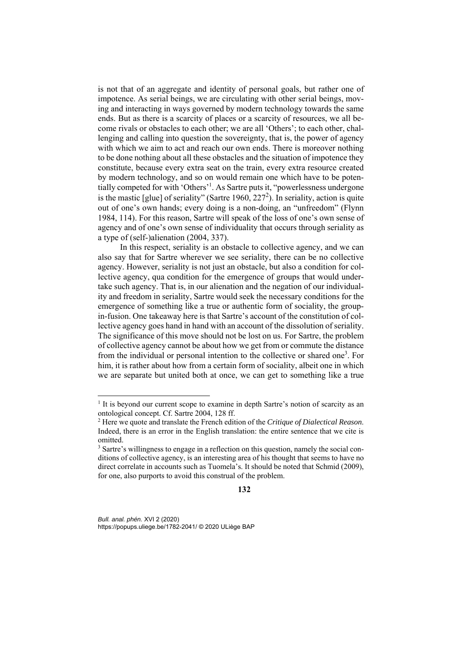is not that of an aggregate and identity of personal goals, but rather one of impotence. As serial beings, we are circulating with other serial beings, moving and interacting in ways governed by modern technology towards the same ends. But as there is a scarcity of places or a scarcity of resources, we all become rivals or obstacles to each other; we are all 'Others'; to each other, challenging and calling into question the sovereignty, that is, the power of agency with which we aim to act and reach our own ends. There is moreover nothing to be done nothing about all these obstacles and the situation of impotence they constitute, because every extra seat on the train, every extra resource created by modern technology, and so on would remain one which have to be potentially competed for with 'Others'1 . As Sartre puts it, "powerlessness undergone is the mastic [glue] of seriality" (Sartre 1960, 227<sup>2</sup>). In seriality, action is quite out of one's own hands; every doing is a non-doing, an "unfreedom" (Flynn 1984, 114). For this reason, Sartre will speak of the loss of one's own sense of agency and of one's own sense of individuality that occurs through seriality as a type of (self-)alienation (2004, 337).

In this respect, seriality is an obstacle to collective agency, and we can also say that for Sartre wherever we see seriality, there can be no collective agency. However, seriality is not just an obstacle, but also a condition for collective agency, qua condition for the emergence of groups that would undertake such agency. That is, in our alienation and the negation of our individuality and freedom in seriality, Sartre would seek the necessary conditions for the emergence of something like a true or authentic form of sociality, the groupin-fusion. One takeaway here is that Sartre's account of the constitution of collective agency goes hand in hand with an account of the dissolution of seriality. The significance of this move should not be lost on us. For Sartre, the problem of collective agency cannot be about how we get from or commute the distance from the individual or personal intention to the collective or shared one<sup>3</sup>. For him, it is rather about how from a certain form of sociality, albeit one in which we are separate but united both at once, we can get to something like a true

### **132**

*Bull. anal. phén.* XVI 2 (2020) https://popups.uliege.be/1782-2041/ © 2020 ULiège BAP

<sup>&</sup>lt;sup>1</sup> It is beyond our current scope to examine in depth Sartre's notion of scarcity as an ontological concept. Cf. Sartre 2004, 128 ff.

<sup>2</sup> Here we quote and translate the French edition of the *Critique of Dialectical Reason*. Indeed, there is an error in the English translation: the entire sentence that we cite is omitted.

<sup>&</sup>lt;sup>3</sup> Sartre's willingness to engage in a reflection on this question, namely the social conditions of collective agency, is an interesting area of his thought that seems to have no direct correlate in accounts such as Tuomela's. It should be noted that Schmid (2009), for one, also purports to avoid this construal of the problem.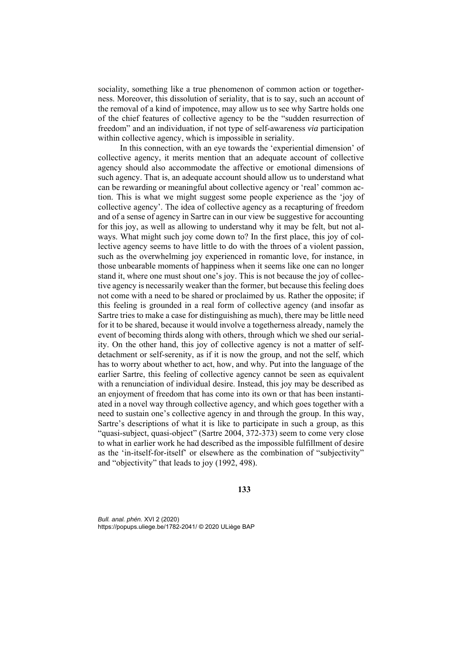sociality, something like a true phenomenon of common action or togetherness. Moreover, this dissolution of seriality, that is to say, such an account of the removal of a kind of impotence, may allow us to see why Sartre holds one of the chief features of collective agency to be the "sudden resurrection of freedom" and an individuation, if not type of self-awareness *via* participation within collective agency, which is impossible in seriality.

In this connection, with an eye towards the 'experiential dimension' of collective agency, it merits mention that an adequate account of collective agency should also accommodate the affective or emotional dimensions of such agency. That is, an adequate account should allow us to understand what can be rewarding or meaningful about collective agency or 'real' common action. This is what we might suggest some people experience as the 'joy of collective agency'. The idea of collective agency as a recapturing of freedom and of a sense of agency in Sartre can in our view be suggestive for accounting for this joy, as well as allowing to understand why it may be felt, but not always. What might such joy come down to? In the first place, this joy of collective agency seems to have little to do with the throes of a violent passion, such as the overwhelming joy experienced in romantic love, for instance, in those unbearable moments of happiness when it seems like one can no longer stand it, where one must shout one's joy. This is not because the joy of collective agency is necessarily weaker than the former, but because this feeling does not come with a need to be shared or proclaimed by us. Rather the opposite; if this feeling is grounded in a real form of collective agency (and insofar as Sartre tries to make a case for distinguishing as much), there may be little need for it to be shared, because it would involve a togetherness already, namely the event of becoming thirds along with others, through which we shed our seriality. On the other hand, this joy of collective agency is not a matter of selfdetachment or self-serenity, as if it is now the group, and not the self, which has to worry about whether to act, how, and why. Put into the language of the earlier Sartre, this feeling of collective agency cannot be seen as equivalent with a renunciation of individual desire. Instead, this joy may be described as an enjoyment of freedom that has come into its own or that has been instantiated in a novel way through collective agency, and which goes together with a need to sustain one's collective agency in and through the group. In this way, Sartre's descriptions of what it is like to participate in such a group, as this "quasi-subject, quasi-object" (Sartre 2004, 372-373) seem to come very close to what in earlier work he had described as the impossible fulfillment of desire as the 'in-itself-for-itself' or elsewhere as the combination of "subjectivity" and "objectivity" that leads to joy (1992, 498).

**133**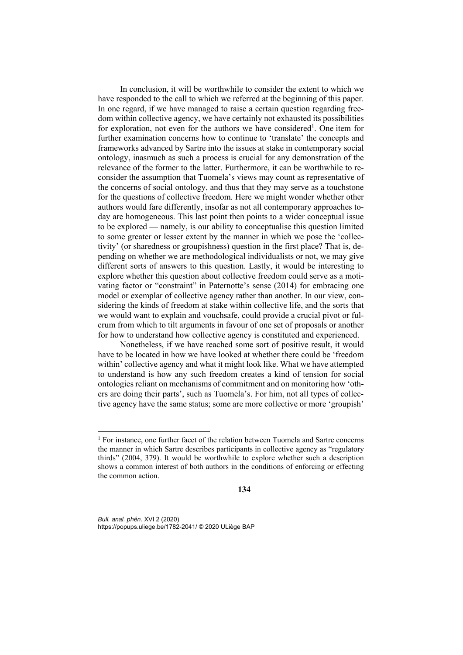In conclusion, it will be worthwhile to consider the extent to which we have responded to the call to which we referred at the beginning of this paper. In one regard, if we have managed to raise a certain question regarding freedom within collective agency, we have certainly not exhausted its possibilities for exploration, not even for the authors we have considered<sup>1</sup>. One item for further examination concerns how to continue to 'translate' the concepts and frameworks advanced by Sartre into the issues at stake in contemporary social ontology, inasmuch as such a process is crucial for any demonstration of the relevance of the former to the latter. Furthermore, it can be worthwhile to reconsider the assumption that Tuomela's views may count as representative of the concerns of social ontology, and thus that they may serve as a touchstone for the questions of collective freedom. Here we might wonder whether other authors would fare differently, insofar as not all contemporary approaches today are homogeneous. This last point then points to a wider conceptual issue to be explored — namely, is our ability to conceptualise this question limited to some greater or lesser extent by the manner in which we pose the 'collectivity' (or sharedness or groupishness) question in the first place? That is, depending on whether we are methodological individualists or not, we may give different sorts of answers to this question. Lastly, it would be interesting to explore whether this question about collective freedom could serve as a motivating factor or "constraint" in Paternotte's sense (2014) for embracing one model or exemplar of collective agency rather than another. In our view, considering the kinds of freedom at stake within collective life, and the sorts that we would want to explain and vouchsafe, could provide a crucial pivot or fulcrum from which to tilt arguments in favour of one set of proposals or another for how to understand how collective agency is constituted and experienced.

Nonetheless, if we have reached some sort of positive result, it would have to be located in how we have looked at whether there could be 'freedom within' collective agency and what it might look like. What we have attempted to understand is how any such freedom creates a kind of tension for social ontologies reliant on mechanisms of commitment and on monitoring how 'others are doing their parts', such as Tuomela's. For him, not all types of collective agency have the same status; some are more collective or more 'groupish'

**134**

*Bull. anal. phén.* XVI 2 (2020) https://popups.uliege.be/1782-2041/ © 2020 ULiège BAP

<sup>&</sup>lt;sup>1</sup> For instance, one further facet of the relation between Tuomela and Sartre concerns the manner in which Sartre describes participants in collective agency as "regulatory thirds" (2004, 379). It would be worthwhile to explore whether such a description shows a common interest of both authors in the conditions of enforcing or effecting the common action.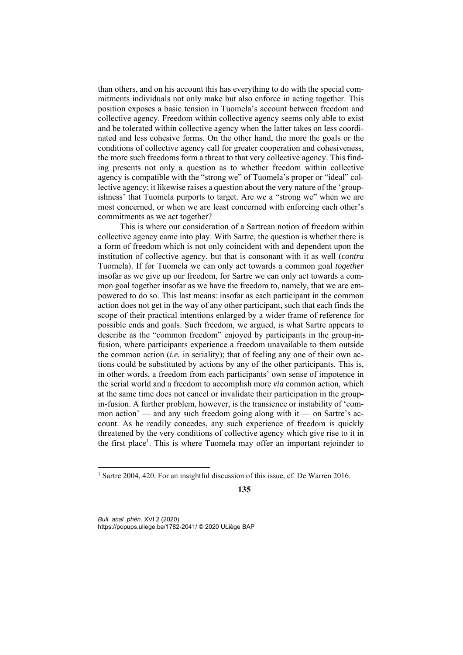than others, and on his account this has everything to do with the special commitments individuals not only make but also enforce in acting together. This position exposes a basic tension in Tuomela's account between freedom and collective agency. Freedom within collective agency seems only able to exist and be tolerated within collective agency when the latter takes on less coordinated and less cohesive forms. On the other hand, the more the goals or the conditions of collective agency call for greater cooperation and cohesiveness, the more such freedoms form a threat to that very collective agency. This finding presents not only a question as to whether freedom within collective agency is compatible with the "strong we" of Tuomela's proper or "ideal" collective agency; it likewise raises a question about the very nature of the 'groupishness' that Tuomela purports to target. Are we a "strong we" when we are most concerned, or when we are least concerned with enforcing each other's commitments as we act together?

This is where our consideration of a Sartrean notion of freedom within collective agency came into play. With Sartre, the question is whether there is a form of freedom which is not only coincident with and dependent upon the institution of collective agency, but that is consonant with it as well (*contra* Tuomela). If for Tuomela we can only act towards a common goal *together* insofar as we give up our freedom, for Sartre we can only act towards a common goal together insofar as we have the freedom to, namely, that we are empowered to do so. This last means: insofar as each participant in the common action does not get in the way of any other participant, such that each finds the scope of their practical intentions enlarged by a wider frame of reference for possible ends and goals. Such freedom, we argued, is what Sartre appears to describe as the "common freedom" enjoyed by participants in the group-infusion, where participants experience a freedom unavailable to them outside the common action (*i.e.* in seriality); that of feeling any one of their own actions could be substituted by actions by any of the other participants. This is, in other words, a freedom from each participants' own sense of impotence in the serial world and a freedom to accomplish more *via* common action, which at the same time does not cancel or invalidate their participation in the groupin-fusion. A further problem, however, is the transience or instability of 'common action' — and any such freedom going along with it — on Sartre's account. As he readily concedes, any such experience of freedom is quickly threatened by the very conditions of collective agency which give rise to it in the first place<sup>1</sup>. This is where Tuomela may offer an important rejoinder to

*Bull. anal. phén.* XVI 2 (2020) https://popups.uliege.be/1782-2041/ © 2020 ULiège BAP

<sup>&</sup>lt;sup>1</sup> Sartre 2004, 420. For an insightful discussion of this issue, cf. De Warren 2016.

**<sup>135</sup>**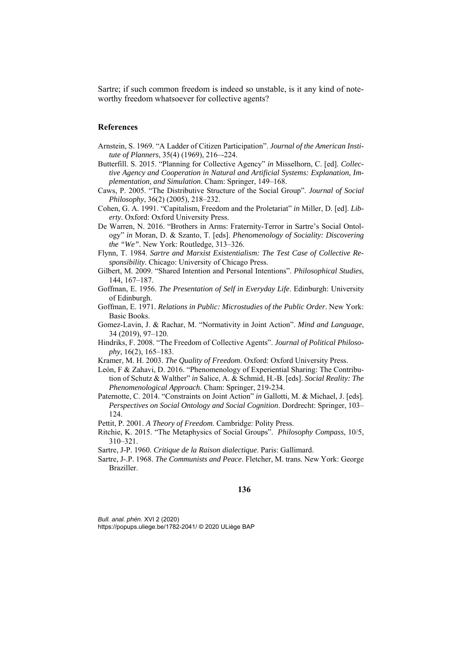Sartre; if such common freedom is indeed so unstable, is it any kind of noteworthy freedom whatsoever for collective agents?

### **References**

- Arnstein, S. 1969. "A Ladder of Citizen Participation". *Journal of the American Institute of Planners*, 35(4) (1969), 216–-224.
- Butterfill. S. 2015. "Planning for Collective Agency" *in* Misselhorn, C. [ed]. *Collective Agency and Cooperation in Natural and Artificial Systems: Explanation, Implementation, and Simulation*. Cham: Springer, 149–168.
- Caws, P. 2005. "The Distributive Structure of the Social Group". *Journal of Social Philosophy*, 36(2) (2005), 218–232.
- Cohen, G. A. 1991. "Capitalism, Freedom and the Proletariat" *in* Miller, D. [ed]. *Liberty*. Oxford: Oxford University Press.
- De Warren, N. 2016. "Brothers in Arms: Fraternity-Terror in Sartre's Social Ontology" *in* Moran, D. & Szanto, T. [eds]. *Phenomenology of Sociality: Discovering the "We"*. New York: Routledge, 313–326.
- Flynn, T. 1984. *Sartre and Marxist Existentialism: The Test Case of Collective Responsibility*. Chicago: University of Chicago Press.
- Gilbert, M. 2009. "Shared Intention and Personal Intentions". *Philosophical Studies*, 144, 167–187.
- Goffman, E. 1956. *The Presentation of Self in Everyday Life*. Edinburgh: University of Edinburgh.
- Goffman, E. 1971. *Relations in Public: Microstudies of the Public Order*. New York: Basic Books.
- Gomez-Lavin, J. & Rachar, M. "Normativity in Joint Action". *Mind and Language*, 34 (2019), 97–120.
- Hindriks, F. 2008. "The Freedom of Collective Agents". *Journal of Political Philosophy*, 16(2), 165–183.
- Kramer, M. H. 2003. *The Quality of Freedom*. Oxford: Oxford University Press.
- León, F & Zahavi, D. 2016. "Phenomenology of Experiential Sharing: The Contribution of Schutz & Walther" *in* Salice, A. & Schmid, H.-B. [eds]. *Social Reality: The Phenomenological Approach*. Cham: Springer, 219-234.
- Paternotte, C. 2014. "Constraints on Joint Action" *in* Gallotti, M. & Michael, J. [eds]. *Perspectives on Social Ontology and Social Cognition*. Dordrecht: Springer, 103– 124.
- Pettit, P. 2001. *A Theory of Freedom*. Cambridge: Polity Press.
- Ritchie, K. 2015. "The Metaphysics of Social Groups". *Philosophy Compass*, 10/5, 310–321.

Sartre, J-P. 1960. *Critique de la Raison dialectique*. Paris: Gallimard.

Sartre, J-.P. 1968. *The Communists and Peace*. Fletcher, M. trans. New York: George Braziller.

## **136**